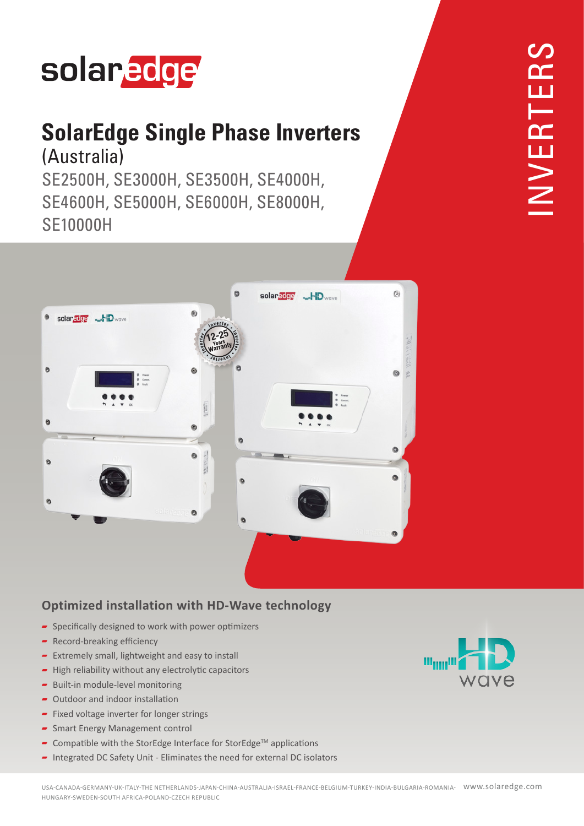# solaredge

### **SolarEdge Single Phase Inverters** (Australia)

SE2500H, SE3000H, SE3500H, SE4000H, SE4600H, SE5000H, SE6000H, SE8000H, **SE10000H** 



#### **Optimized installation with HD-Wave technology**

- $\blacktriangleright$  Specifically designed to work with power optimizers
- $\blacktriangleright$  Record-breaking efficiency
- $\blacksquare$  Extremely small, lightweight and easy to install
- $\blacktriangleright$  High reliability without any electrolytic capacitors
- $\blacksquare$  Built-in module-level monitoring
- $\sim$  Outdoor and indoor installation
- $\blacktriangleright$  Fixed voltage inverter for longer strings
- $\overline{\phantom{a}}$  Smart Energy Management control
- **-** Compatible with the StorEdge Interface for StorEdge<sup>™</sup> applications
- $\blacksquare$  Integrated DC Safety Unit Eliminates the need for external DC isolators